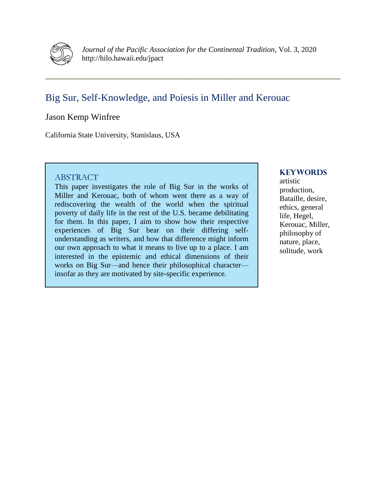

*Journal of the Pacific Association for the Continental Tradition*, Vol. 3, 2020 http://hilo.hawaii.edu/jpact

**\_\_\_\_\_\_\_\_\_\_\_\_\_\_\_\_\_\_\_\_\_\_\_\_\_\_\_\_\_\_\_\_\_\_\_\_\_\_\_\_\_\_\_\_\_\_\_\_\_\_\_\_\_\_\_\_\_\_\_\_\_\_\_\_\_\_\_\_\_\_\_\_\_\_\_\_\_\_**

# Big Sur, Self-Knowledge, and Poiesis in Miller and Kerouac

## Jason Kemp Winfree

California State University, Stanislaus, USA

### ABSTRACT

This paper investigates the role of Big Sur in the works of Miller and Kerouac, both of whom went there as a way of rediscovering the wealth of the world when the spiritual poverty of daily life in the rest of the U.S. became debilitating for them. In this paper, I aim to show how their respective experiences of Big Sur bear on their differing selfunderstanding as writers, and how that difference might inform our own approach to what it means to live up to a place. I am interested in the epistemic and ethical dimensions of their works on Big Sur—and hence their philosophical character insofar as they are motivated by site-specific experience.

#### **KEYWORDS**

artistic production, Bataille, desire, ethics, general life, Hegel, Kerouac, Miller, philosophy of nature, place, solitude, work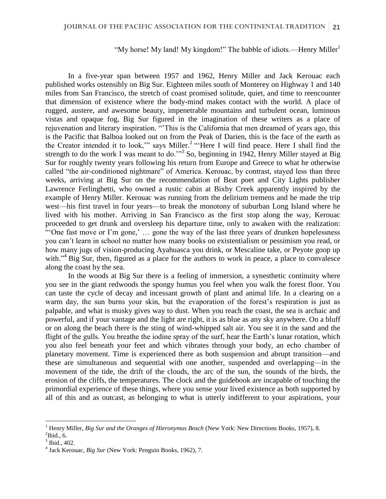#### "My horse! My land! My kingdom!" The babble of idiots.—Henry Miller $<sup>1</sup>$ </sup>

In a five-year span between 1957 and 1962, Henry Miller and Jack Kerouac each published works ostensibly on Big Sur. Eighteen miles south of Monterey on Highway 1 and 140 miles from San Francisco, the stretch of coast promised solitude, quiet, and time to reencounter that dimension of existence where the body-mind makes contact with the world. A place of rugged, austere, and awesome beauty, impenetrable mountains and turbulent ocean, luminous vistas and opaque fog, Big Sur figured in the imagination of these writers as a place of rejuvenation and literary inspiration. "'This is the California that men dreamed of years ago, this is the Pacific that Balboa looked out on from the Peak of Darien, this is the face of the earth as the Creator intended it to look," says Miller.<sup>2</sup> "Here I will find peace. Here I shall find the strength to do the work I was meant to do."<sup>3</sup> So, beginning in 1942, Henry Miller stayed at Big Sur for roughly twenty years following his return from Europe and Greece to what he otherwise called "the air-conditioned nightmare" of America. Kerouac, by contrast, stayed less than three weeks, arriving at Big Sur on the recommendation of Beat poet and City Lights publisher Lawrence Ferlinghetti, who owned a rustic cabin at Bixby Creek apparently inspired by the example of Henry Miller. Kerouac was running from the delirium tremens and he made the trip west—his first travel in four years—to break the monotony of suburban Long Island where he lived with his mother. Arriving in San Francisco as the first stop along the way, Kerouac proceeded to get drunk and oversleep his departure time, only to awaken with the realization: "'One fast move or I'm gone,' ... gone the way of the last three years of drunken hopelessness you can't learn in school no matter how many books on existentialism or pessimism you read, or how many jugs of vision-producing Ayahuasca you drink, or Mescaline take, or Peyote goop up with."<sup>4</sup> Big Sur, then, figured as a place for the authors to work in peace, a place to convalesce along the coast by the sea.

In the woods at Big Sur there is a feeling of immersion, a synesthetic continuity where you see in the giant redwoods the spongy humus you feel when you walk the forest floor. You can taste the cycle of decay and incessant growth of plant and animal life. In a clearing on a warm day, the sun burns your skin, but the evaporation of the forest's respiration is just as palpable, and what is musky gives way to dust. When you reach the coast, the sea is archaic and powerful, and if your vantage and the light are right, it is as blue as any sky anywhere. On a bluff or on along the beach there is the sting of wind-whipped salt air. You see it in the sand and the flight of the gulls. You breathe the iodine spray of the surf, hear the Earth's lunar rotation, which you also feel beneath your feet and which vibrates through your body, an echo chamber of planetary movement. Time is experienced there as both suspension and abrupt transition—and these are simultaneous and sequential with one another, suspended and overlapping—in the movement of the tide, the drift of the clouds, the arc of the sun, the sounds of the birds, the erosion of the cliffs, the temperatures. The clock and the guidebook are incapable of touching the primordial experience of these things, where you sense your lived existence as both supported by all of this and as outcast, as belonging to what is utterly indifferent to your aspirations, your

<sup>1</sup> Henry Miller, *Big Sur and the Oranges of Hieronymus Bosch* (New York: New Directions Books, 1957), 8.

 $\mathrm{^2Ibid.}, 6.$ 

<sup>3</sup> Ibid., 402.

<sup>4</sup> Jack Kerouac, *Big Sur* (New York: Penguin Books, 1962), 7.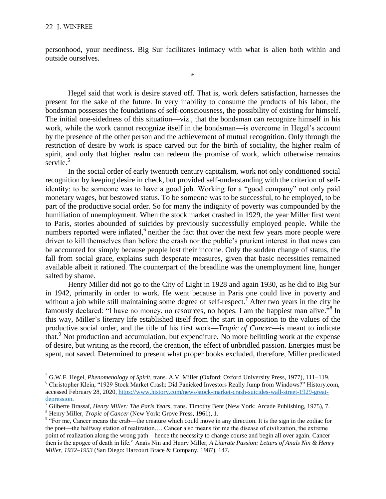personhood, your neediness. Big Sur facilitates intimacy with what is alien both within and outside ourselves.

\*

Hegel said that work is desire staved off. That is, work defers satisfaction, harnesses the present for the sake of the future. In very inability to consume the products of his labor, the bondsman possesses the foundations of self-consciousness, the possibility of existing for himself. The initial one-sidedness of this situation—viz., that the bondsman can recognize himself in his work, while the work cannot recognize itself in the bondsman—is overcome in Hegel's account by the presence of the other person and the achievement of mutual recognition. Only through the restriction of desire by work is space carved out for the birth of sociality, the higher realm of spirit, and only that higher realm can redeem the promise of work, which otherwise remains servile.<sup>5</sup>

In the social order of early twentieth century capitalism, work not only conditioned social recognition by keeping desire in check, but provided self-understanding with the criterion of selfidentity: to be someone was to have a good job. Working for a "good company" not only paid monetary wages, but bestowed status. To be someone was to be successful, to be employed, to be part of the productive social order. So for many the indignity of poverty was compounded by the humiliation of unemployment. When the stock market crashed in 1929, the year Miller first went to Paris, stories abounded of suicides by previously successfully employed people. While the numbers reported were inflated,<sup>6</sup> neither the fact that over the next few years more people were driven to kill themselves than before the crash nor the public's prurient interest in that news can be accounted for simply because people lost their income. Only the sudden change of status, the fall from social grace, explains such desperate measures, given that basic necessities remained available albeit it rationed. The counterpart of the breadline was the unemployment line, hunger salted by shame.

Henry Miller did not go to the City of Light in 1928 and again 1930, as he did to Big Sur in 1942, primarily in order to work. He went because in Paris one could live in poverty and without a job while still maintaining some degree of self-respect.<sup>7</sup> After two years in the city he famously declared: "I have no money, no resources, no hopes. I am the happiest man alive."<sup>8</sup> In this way, Miller's literary life established itself from the start in opposition to the values of the productive social order, and the title of his first work—*Tropic of Cancer*—is meant to indicate that.<sup>9</sup> Not production and accumulation, but expenditure. No more belittling work at the expense of desire, but writing as the record, the creation, the effect of unbridled passion. Energies must be spent, not saved. Determined to present what proper books excluded, therefore, Miller predicated

<sup>5</sup> G.W.F. Hegel, *Phenomenology of Spirit*, trans. A.V. Miller (Oxford: Oxford University Press, 1977), 111–119. <sup>6</sup> Christopher Klein, "1929 Stock Market Crash: Did Panicked Investors Really Jump from Windows?" History.com, accessed February 28, 2020, [https://www.history.com/news/stock-market-crash-suicides-wall-street-1929-great-](https://www.history.com/news/stock-market-crash-suicides-wall-street-1929-great-depression)

[depression.](https://www.history.com/news/stock-market-crash-suicides-wall-street-1929-great-depression)

<sup>7</sup> Gilberte Brassaï, *Henry Miller: The Paris Years*, trans. Timothy Bent (New York: Arcade Publishing, 1975), 7. <sup>8</sup> Henry Miller, *Tropic of Cancer* (New York: Grove Press, 1961), 1.

<sup>&</sup>lt;sup>9</sup> "For me, Cancer means the crab—the creature which could move in any direction. It is the sign in the zodiac for the poet—the halfway station of realization…. Cancer also means for me the disease of civilization, the extreme point of realization along the wrong path—hence the necessity to change course and begin all over again. Cancer then is the apogee of death in life." Anaïs Nin and Henry Miller, *A Literate Passion: Letters of Anaïs Nin & Henry Miller, 1932–1953* (San Diego: Harcourt Brace & Company, 1987), 147.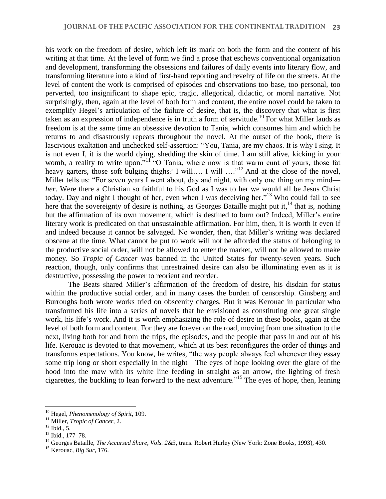his work on the freedom of desire, which left its mark on both the form and the content of his writing at that time. At the level of form we find a prose that eschews conventional organization and development, transforming the obsessions and failures of daily events into literary flow, and transforming literature into a kind of first-hand reporting and revelry of life on the streets. At the level of content the work is comprised of episodes and observations too base, too personal, too perverted, too insignificant to shape epic, tragic, allegorical, didactic, or moral narrative. Not surprisingly, then, again at the level of both form and content, the entire novel could be taken to exemplify Hegel's articulation of the failure of desire, that is, the discovery that what is first taken as an expression of independence is in truth a form of servitude.<sup>10</sup> For what Miller lauds as freedom is at the same time an obsessive devotion to Tania, which consumes him and which he returns to and disastrously repeats throughout the novel. At the outset of the book, there is lascivious exaltation and unchecked self-assertion: "You, Tania, are my chaos. It is why I sing. It is not even I, it is the world dying, shedding the skin of time. I am still alive, kicking in your womb, a reality to write upon."<sup>11</sup> "O Tania, where now is that warm cunt of yours, those fat heavy garters, those soft bulging thighs? I will.... I will …."<sup>12</sup> And at the close of the novel, Miller tells us: "For seven years I went about, day and night, with only one thing on my mind *her*. Were there a Christian so faithful to his God as I was to her we would all be Jesus Christ today. Day and night I thought of her, even when I was deceiving her."<sup>13</sup> Who could fail to see here that the sovereignty of desire is nothing, as Georges Bataille might put it,<sup>14</sup> that is, nothing but the affirmation of its own movement, which is destined to burn out? Indeed, Miller's entire literary work is predicated on that unsustainable affirmation. For him, then, it is worth it even if and indeed because it cannot be salvaged. No wonder, then, that Miller's writing was declared obscene at the time. What cannot be put to work will not be afforded the status of belonging to the productive social order, will not be allowed to enter the market, will not be allowed to make money. So *Tropic of Cancer* was banned in the United States for twenty-seven years. Such reaction, though, only confirms that unrestrained desire can also be illuminating even as it is destructive, possessing the power to reorient and reorder.

The Beats shared Miller's affirmation of the freedom of desire, his disdain for status within the productive social order, and in many cases the burden of censorship. Ginsberg and Burroughs both wrote works tried on obscenity charges. But it was Kerouac in particular who transformed his life into a series of novels that he envisioned as constituting one great single work, his life's work. And it is worth emphasizing the role of desire in these books, again at the level of both form and content. For they are forever on the road, moving from one situation to the next, living both for and from the trips, the episodes, and the people that pass in and out of his life. Kerouac is devoted to that movement, which at its best reconfigures the order of things and transforms expectations. You know, he writes, "the way people always feel whenever they essay some trip long or short especially in the night—The eyes of hope looking over the glare of the hood into the maw with its white line feeding in straight as an arrow, the lighting of fresh cigarettes, the buckling to lean forward to the next adventure." <sup>15</sup> The eyes of hope, then, leaning

<sup>10</sup> Hegel, *Phenomenology of Spirit*, 109.

<sup>11</sup> Miller, *Tropic of Cancer*, 2.

 $^{12}$  Ibid., 5.

<sup>13</sup> Ibid., 177–78.

<sup>14</sup> Georges Bataille, *The Accursed Share, Vols. 2&3*, trans. Robert Hurley (New York: Zone Books, 1993), 430.

<sup>15</sup> Kerouac, *Big Sur*, 176.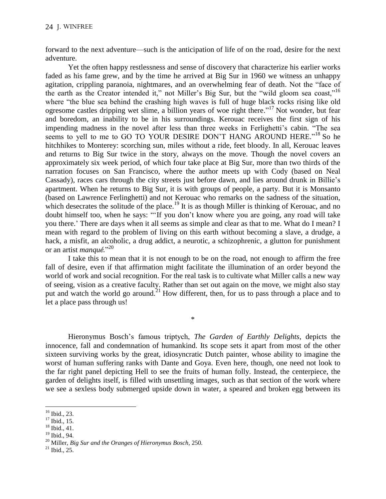forward to the next adventure—such is the anticipation of life of on the road, desire for the next adventure.

Yet the often happy restlessness and sense of discovery that characterize his earlier works faded as his fame grew, and by the time he arrived at Big Sur in 1960 we witness an unhappy agitation, crippling paranoia, nightmares, and an overwhelming fear of death. Not the "face of the earth as the Creator intended it," not Miller's Big Sur, but the "wild gloom sea coast,"<sup>16</sup> where "the blue sea behind the crashing high waves is full of huge black rocks rising like old ogresome castles dripping wet slime, a billion years of woe right there."<sup>17</sup> Not wonder, but fear and boredom, an inability to be in his surroundings. Kerouac receives the first sign of his impending madness in the novel after less than three weeks in Ferlighetti's cabin. "The sea seems to yell to me to GO TO YOUR DESIRE DON'T HANG AROUND HERE."<sup>18</sup> So he hitchhikes to Monterey: scorching sun, miles without a ride, feet bloody. In all, Kerouac leaves and returns to Big Sur twice in the story, always on the move. Though the novel covers an approximately six week period, of which four take place at Big Sur, more than two thirds of the narration focuses on San Francisco, where the author meets up with Cody (based on Neal Cassady), races cars through the city streets just before dawn, and lies around drunk in Billie's apartment. When he returns to Big Sur, it is with groups of people, a party. But it is Monsanto (based on Lawrence Ferlinghetti) and not Kerouac who remarks on the sadness of the situation, which desecrates the solitude of the place.<sup>19</sup> It is as though Miller is thinking of Kerouac, and no doubt himself too, when he says: "'If you don't know where you are going, any road will take you there.' There are days when it all seems as simple and clear as that to me. What do I mean? I mean with regard to the problem of living on this earth without becoming a slave, a drudge, a hack, a misfit, an alcoholic, a drug addict, a neurotic, a schizophrenic, a glutton for punishment or an artist *manqué.*" 20

I take this to mean that it is not enough to be on the road, not enough to affirm the free fall of desire, even if that affirmation might facilitate the illumination of an order beyond the world of work and social recognition. For the real task is to cultivate what Miller calls a new way of seeing, vision as a creative faculty. Rather than set out again on the move, we might also stay put and watch the world go around.<sup>21</sup> How different, then, for us to pass through a place and to let a place pass through us!

\*

Hieronymus Bosch's famous triptych, *The Garden of Earthly Delights*, depicts the innocence, fall and condemnation of humankind. Its scope sets it apart from most of the other sixteen surviving works by the great, idiosyncratic Dutch painter, whose ability to imagine the worst of human suffering ranks with Dante and Goya. Even here, though, one need not look to the far right panel depicting Hell to see the fruits of human folly. Instead, the centerpiece, the garden of delights itself, is filled with unsettling images, such as that section of the work where we see a sexless body submerged upside down in water, a speared and broken egg between its

 $\overline{a}$  $16$  Ibid., 23.

<sup>&</sup>lt;sup>17</sup> Ibid., 15.

<sup>18</sup> Ibid., 41.

<sup>19</sup> Ibid., 94.

<sup>20</sup> Miller, *Big Sur and the Oranges of Hieronymus Bosch,* 250.

 $^{21}$  Ibid., 25.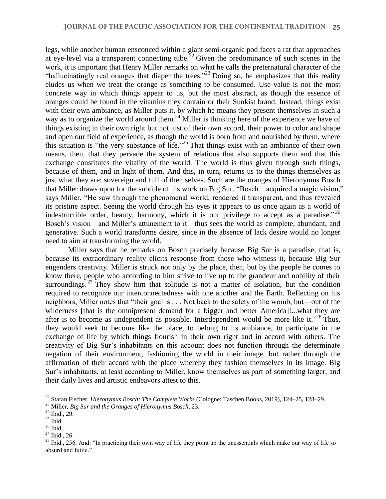legs, while another human ensconced within a giant semi-organic pod faces a rat that approaches at eye-level via a transparent connecting tube.<sup>22</sup> Given the predominance of such scenes in the work, it is important that Henry Miller remarks on what he calls the preternatural character of the "hallucinatingly real oranges that diaper the trees."<sup>23</sup> Doing so, he emphasizes that this reality eludes us when we treat the orange as something to be consumed. Use value is not the most concrete way in which things appear to us, but the most abstract, as though the essence of oranges could be found in the vitamins they contain or their Sunkist brand. Instead, things exist with their own ambiance, as Miller puts it, by which he means they present themselves in such a way as to organize the world around them.<sup>24</sup> Miller is thinking here of the experience we have of things existing in their own right but not just of their own accord, their power to color and shape and open our field of experience, as though the world is born from and nourished by them, where this situation is "the very substance of life." <sup>25</sup> That things exist with an ambiance of their own means, then, that they pervade the system of relations that also supports them and that this exchange constitutes the vitality of the world. The world is thus given through such things, because of them, and in light of them. And this, in turn, returns us to the things themselves as just what they are: sovereign and full of themselves. Such are the oranges of Hieronymus Bosch that Miller draws upon for the subtitle of his work on Big Sur. "Bosch…acquired a magic vision," says Miller. "He saw through the phenomenal world, rendered it transparent, and thus revealed its pristine aspect. Seeing the world through his eyes it appears to us once again as a world of indestructible order, beauty, harmony, which it is our privilege to accept as a paradise." 26 Bosch's vision—and Miller's attunement to it—thus sees the world as complete, abundant, and generative. Such a world transforms desire, since in the absence of lack desire would no longer need to aim at transforming the world.

Miller says that he remarks on Bosch precisely because Big Sur is a paradise, that is, because its extraordinary reality elicits response from those who witness it, because Big Sur engenders creativity. Miller is struck not only by the place, then, but by the people he comes to know there, people who according to him strive to live up to the grandeur and nobility of their surroundings.<sup>27</sup> They show him that solitude is not a matter of isolation, but the condition required to recognize our interconnectedness with one another and the Earth. Reflecting on his neighbors, Miller notes that "their goal is . . . Not back to the safety of the womb, but—out of the wilderness [that is the omnipresent demand for a bigger and better America]!...what they are after is to become as undependent as possible. Interdependent would be more like it."<sup>28</sup> Thus, they would seek to become like the place, to belong to its ambiance, to participate in the exchange of life by which things flourish in their own right and in accord with others. The creativity of Big Sur's inhabitants on this account does not function through the determinate negation of their environment, fashioning the world in their image, but rather through the affirmation of their accord with the place whereby they fashion themselves in its image. Big Sur's inhabitants, at least according to Miller, know themselves as part of something larger, and their daily lives and artistic endeavors attest to this.

<sup>22</sup> Stafan Fischer, *Hieronymus Bosch: The Complete Works* (Cologne: Taschen Books, 2019), 124–25, 128–29.

<sup>23</sup> Miller, *Big Sur and the Oranges of Hieronymus Bosch*, 23.

<sup>24</sup> Ibid., 29.

 $^\mathrm{25}$  Ibid.

 $^{\rm 26}$  Ibid.

 $27$  Ibid., 26.

<sup>&</sup>lt;sup>28</sup> Ibid., 256. And: "In practicing their own way of life they point up the unessentials which make our way of life so absurd and futile."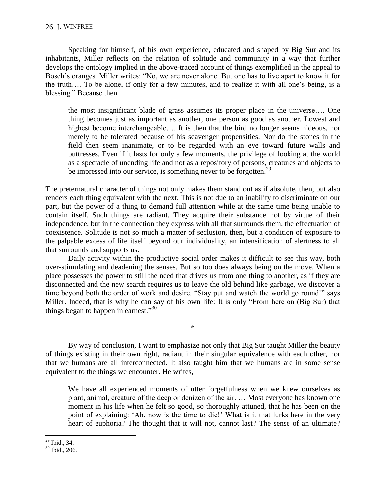Speaking for himself, of his own experience, educated and shaped by Big Sur and its inhabitants, Miller reflects on the relation of solitude and community in a way that further develops the ontology implied in the above-traced account of things exemplified in the appeal to Bosch's oranges. Miller writes: "No, we are never alone. But one has to live apart to know it for the truth…. To be alone, if only for a few minutes, and to realize it with all one's being, is a blessing." Because then

the most insignificant blade of grass assumes its proper place in the universe…. One thing becomes just as important as another, one person as good as another. Lowest and highest become interchangeable.... It is then that the bird no longer seems hideous, nor merely to be tolerated because of his scavenger propensities. Nor do the stones in the field then seem inanimate, or to be regarded with an eye toward future walls and buttresses. Even if it lasts for only a few moments, the privilege of looking at the world as a spectacle of unending life and not as a repository of persons, creatures and objects to be impressed into our service, is something never to be forgotten.<sup>29</sup>

The preternatural character of things not only makes them stand out as if absolute, then, but also renders each thing equivalent with the next. This is not due to an inability to discriminate on our part, but the power of a thing to demand full attention while at the same time being unable to contain itself. Such things are radiant. They acquire their substance not by virtue of their independence, but in the connection they express with all that surrounds them, the effectuation of coexistence. Solitude is not so much a matter of seclusion, then, but a condition of exposure to the palpable excess of life itself beyond our individuality, an intensification of alertness to all that surrounds and supports us.

Daily activity within the productive social order makes it difficult to see this way, both over-stimulating and deadening the senses. But so too does always being on the move. When a place possesses the power to still the need that drives us from one thing to another, as if they are disconnected and the new search requires us to leave the old behind like garbage, we discover a time beyond both the order of work and desire. "Stay put and watch the world go round!" says Miller. Indeed, that is why he can say of his own life: It is only "From here on (Big Sur) that things began to happen in earnest."<sup>30</sup>

By way of conclusion, I want to emphasize not only that Big Sur taught Miller the beauty of things existing in their own right, radiant in their singular equivalence with each other, nor that we humans are all interconnected. It also taught him that we humans are in some sense equivalent to the things we encounter. He writes,

\*

We have all experienced moments of utter forgetfulness when we knew ourselves as plant, animal, creature of the deep or denizen of the air. … Most everyone has known one moment in his life when he felt so good, so thoroughly attuned, that he has been on the point of explaining: 'Ah, now is the time to die!' What is it that lurks here in the very heart of euphoria? The thought that it will not, cannot last? The sense of an ultimate?

 $\overline{a}$  $^{29}$  Ibid., 34.

<sup>30</sup> Ibid., 206.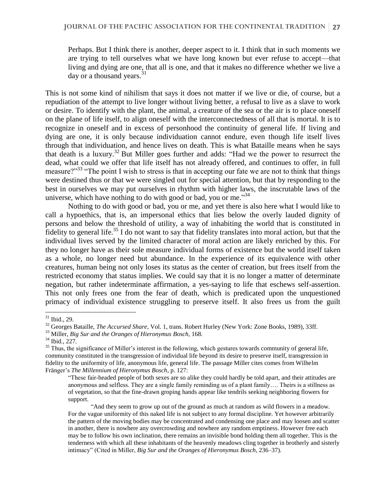Perhaps. But I think there is another, deeper aspect to it. I think that in such moments we are trying to tell ourselves what we have long known but ever refuse to accept—that living and dying are one, that all is one, and that it makes no difference whether we live a day or a thousand years. $31$ 

This is not some kind of nihilism that says it does not matter if we live or die, of course, but a repudiation of the attempt to live longer without living better, a refusal to live as a slave to work or desire. To identify with the plant, the animal, a creature of the sea or the air is to place oneself on the plane of life itself, to align oneself with the interconnectedness of all that is mortal. It is to recognize in oneself and in excess of personhood the continuity of general life. If living and dying are one, it is only because individuation cannot endure, even though life itself lives through that individuation, and hence lives on death. This is what Bataille means when he says that death is a luxury. <sup>32</sup> But Miller goes further and adds: "Had we the power to resurrect the dead, what could we offer that life itself has not already offered, and continues to offer, in full measure?"<sup>33</sup> "The point I wish to stress is that in accepting our fate we are not to think that things were destined thus or that we were singled out for special attention, but that by responding to the best in ourselves we may put ourselves in rhythm with higher laws, the inscrutable laws of the universe, which have nothing to do with good or bad, you or me." $34$ 

Nothing to do with good or bad, you or me, and yet there is also here what I would like to call a hypoethics, that is, an impersonal ethics that lies below the overly lauded dignity of persons and below the threshold of utility, a way of inhabiting the world that is constituted in fidelity to general life.<sup>35</sup> I do not want to say that fidelity translates into moral action, but that the individual lives served by the limited character of moral action are likely enriched by this. For they no longer have as their sole measure individual forms of existence but the world itself taken as a whole, no longer need but abundance. In the experience of its equivalence with other creatures, human being not only loses its status as the center of creation, but frees itself from the restricted economy that status implies. We could say that it is no longer a matter of determinate negation, but rather indeterminate affirmation, a yes-saying to life that eschews self-assertion. This not only frees one from the fear of death, which is predicated upon the unquestioned primacy of individual existence struggling to preserve itself. It also frees us from the guilt

 $31$  Ibid., 29.

<sup>&</sup>lt;sup>32</sup> Georges Bataille, *The Accursed Share*, Vol. 1, trans. Robert Hurley (New York: Zone Books, 1989), 33ff.

<sup>33</sup> Miller, *Big Sur and the Oranges of Hieronymus Bosch*, 168.

<sup>34</sup> Ibid., 227.

 $35$  Thus, the significance of Miller's interest in the following, which gestures towards community of general life, community constituted in the transgression of individual life beyond its desire to preserve itself, transgression in fidelity to the uniformity of life, anonymous life, general life. The passage Miller cites comes from Wilhelm Fränger's *The Millennium of Hieronymus Bosch*, p. 127:

<sup>&</sup>quot;These fair-headed people of both sexes are so alike they could hardly be told apart, and their attitudes are anonymous and selfless. They are a single family reminding us of a plant family…. Theirs is a stillness as of vegetation, so that the fine-drawn groping hands appear like tendrils seeking neighboring flowers for support.

<sup>&</sup>quot;And they seem to grow up out of the ground as much at random as wild flowers in a meadow. For the vague uniformity of this naked life is not subject to any formal discipline. Yet however arbitrarily the pattern of the moving bodies may be concentrated and condensing one place and may loosen and scatter in another, there is nowhere any overcrowding and nowhere any random emptiness. However free each may be to follow his own inclination, there remains an invisible bond holding them all together. This is the tenderness with which all these inhabitants of the heavenly meadows cling together in brotherly and sisterly intimacy" (Cited in Miller, *Big Sur and the Oranges of Hieronymus Bosch*, 236–37).